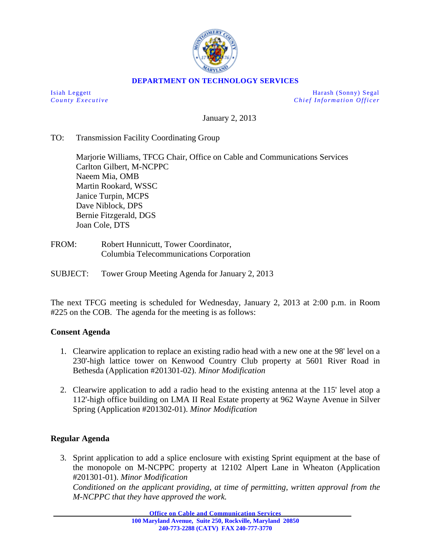

## **DEPARTMENT ON TECHNOLOGY SERVICES**

Isiah Leggett Harash (Sonny) Segal *County Executive* **Chief Information Officer** 

January 2, 2013

## TO: Transmission Facility Coordinating Group

Marjorie Williams, TFCG Chair, Office on Cable and Communications Services Carlton Gilbert, M-NCPPC Naeem Mia, OMB Martin Rookard, WSSC Janice Turpin, MCPS Dave Niblock, DPS Bernie Fitzgerald, DGS Joan Cole, DTS

FROM: Robert Hunnicutt, Tower Coordinator, Columbia Telecommunications Corporation

SUBJECT: Tower Group Meeting Agenda for January 2, 2013

The next TFCG meeting is scheduled for Wednesday, January 2, 2013 at 2:00 p.m. in Room #225 on the COB. The agenda for the meeting is as follows:

## **Consent Agenda**

- 1. Clearwire application to replace an existing radio head with a new one at the 98' level on a 230'-high lattice tower on Kenwood Country Club property at 5601 River Road in Bethesda (Application #201301-02). *Minor Modification*
- 2. Clearwire application to add a radio head to the existing antenna at the 115' level atop a 112'-high office building on LMA II Real Estate property at 962 Wayne Avenue in Silver Spring (Application #201302-01). *Minor Modification*

## **Regular Agenda**

3. Sprint application to add a splice enclosure with existing Sprint equipment at the base of the monopole on M-NCPPC property at 12102 Alpert Lane in Wheaton (Application #201301-01). *Minor Modification Conditioned on the applicant providing, at time of permitting, written approval from the M-NCPPC that they have approved the work.* 

**Office on Cable and Communication Services**